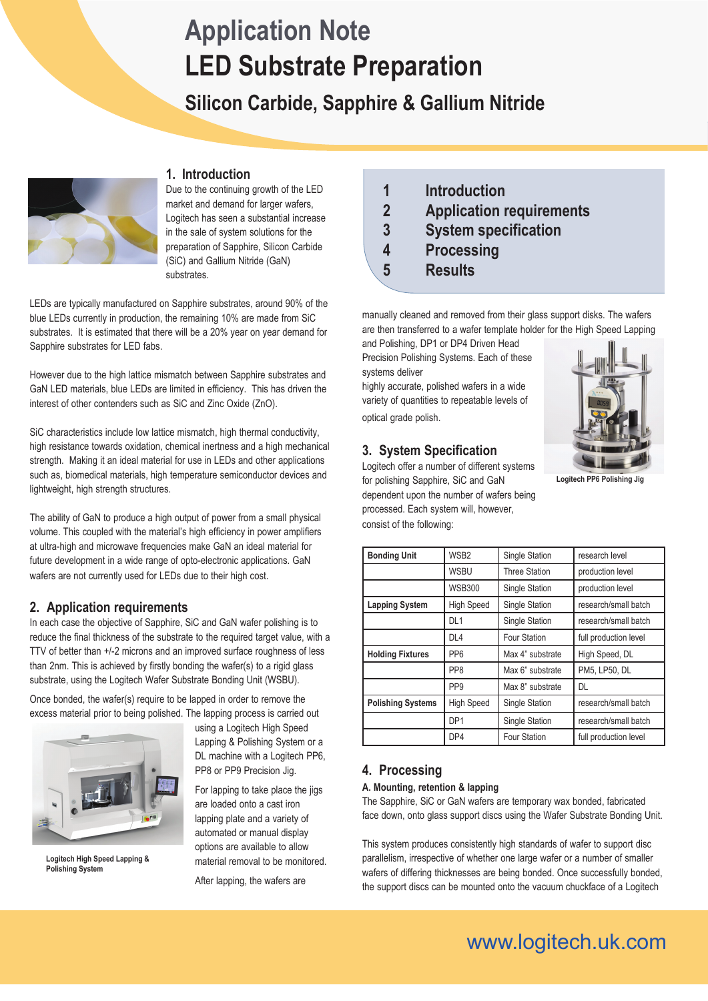# **LED Substrate Preparation Application Note**

# **Silicon Carbide, Sapphire & Gallium Nitride**



### **1. Introduction**

Due to the continuing growth of the LED market and demand for larger wafers, Logitech has seen a substantial increase in the sale of system solutions for the preparation of Sapphire, Silicon Carbide (SiC) and Gallium Nitride (GaN) substrates.

LEDs are typically manufactured on Sapphire substrates, around 90% of the blue LEDs currently in production, the remaining 10% are made from SiC substrates. It is estimated that there will be a 20% year on year demand for Sapphire substrates for LED fabs.

However due to the high lattice mismatch between Sapphire substrates and GaN LED materials, blue LEDs are limited in efficiency. This has driven the interest of other contenders such as SiC and Zinc Oxide (ZnO).

SiC characteristics include low lattice mismatch, high thermal conductivity, high resistance towards oxidation, chemical inertness and a high mechanical strength. Making it an ideal material for use in LEDs and other applications such as, biomedical materials, high temperature semiconductor devices and lightweight, high strength structures.

The ability of GaN to produce a high output of power from a small physical volume. This coupled with the material's high efficiency in power amplifiers at ultra-high and microwave frequencies make GaN an ideal material for future development in a wide range of opto-electronic applications. GaN wafers are not currently used for LEDs due to their high cost.

# **2. Application requirements**

In each case the objective of Sapphire, SiC and GaN wafer polishing is to reduce the final thickness of the substrate to the required target value, with a TTV of better than +/-2 microns and an improved surface roughness of less than 2nm. This is achieved by firstly bonding the wafer(s) to a rigid glass substrate, using the Logitech Wafer Substrate Bonding Unit (WSBU).

Once bonded, the wafer(s) require to be lapped in order to remove the excess material prior to being polished. The lapping process is carried out



**Logitech High Speed Lapping & Polishing System**

using a Logitech High Speed Lapping & Polishing System or a DL machine with a Logitech PP6, PP8 or PP9 Precision Jig.

For lapping to take place the jigs are loaded onto a cast iron lapping plate and a variety of automated or manual display options are available to allow material removal to be monitored.

After lapping, the wafers are

- **1 Introduction 2 Application requirements 3 System specification 4 Processing**
- **5 Results**

manually cleaned and removed from their glass support disks. The wafers are then transferred to a wafer template holder for the High Speed Lapping

and Polishing, DP1 or DP4 Driven Head Precision Polishing Systems. Each of these systems deliver

highly accurate, polished wafers in a wide variety of quantities to repeatable levels of optical grade polish.

# **3. System Specification**

Logitech offer a number of different systems for polishing Sapphire, SiC and GaN dependent upon the number of wafers being processed. Each system will, however, consist of the following:



**Logitech PP6 Polishing Jig**

| <b>Bonding Unit</b>      | WSB <sub>2</sub>  | Single Station      | research level        |
|--------------------------|-------------------|---------------------|-----------------------|
|                          | <b>WSBU</b>       | Three Station       | production level      |
|                          | <b>WSB300</b>     | Single Station      | production level      |
| <b>Lapping System</b>    | <b>High Speed</b> | Single Station      | research/small batch  |
|                          | DL <sub>1</sub>   | Single Station      | research/small batch  |
|                          | DL <sub>4</sub>   | <b>Four Station</b> | full production level |
| <b>Holding Fixtures</b>  | PP <sub>6</sub>   | Max 4" substrate    | High Speed, DL        |
|                          | PP <sub>8</sub>   | Max 6" substrate    | PM5, LP50, DL         |
|                          | PP <sub>9</sub>   | Max 8" substrate    | DL                    |
| <b>Polishing Systems</b> | <b>High Speed</b> | Single Station      | research/small batch  |
|                          | DP <sub>1</sub>   | Single Station      | research/small batch  |
|                          | DP4               | <b>Four Station</b> | full production level |

# **4. Processing**

#### **A. Mounting, retention & lapping**

The Sapphire, SiC or GaN wafers are temporary wax bonded, fabricated face down, onto glass support discs using the Wafer Substrate Bonding Unit.

This system produces consistently high standards of wafer to support disc parallelism, irrespective of whether one large wafer or a number of smaller wafers of differing thicknesses are being bonded. Once successfully bonded, the support discs can be mounted onto the vacuum chuckface of a Logitech